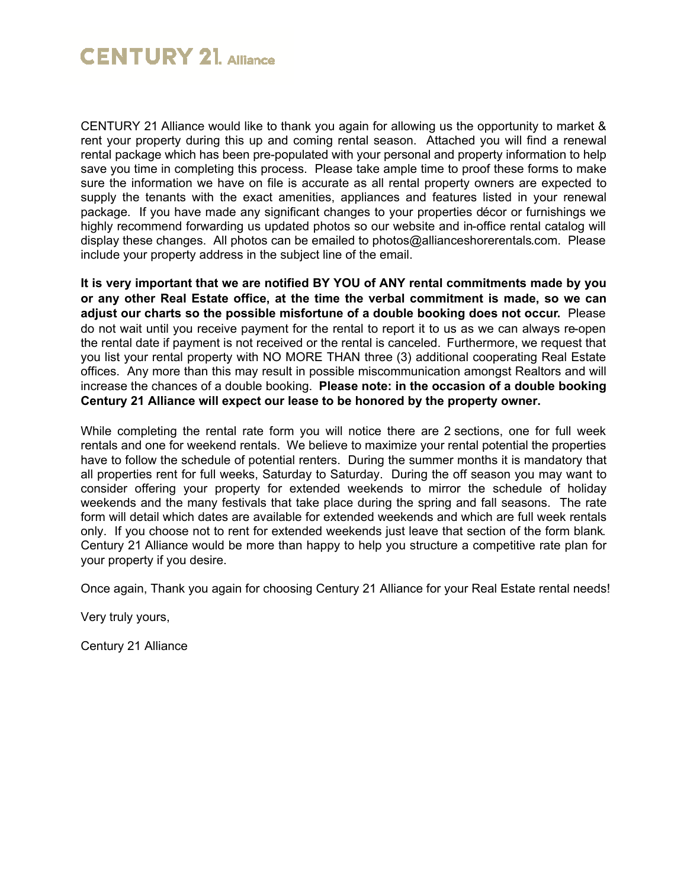## **CENTURY 21 Alliance**

CENTURY 21 Alliance would like to thank you again for allowing us the opportunity to market & rent your property during this up and coming rental season. Attached you will find a renewal rental package which has been pre-populated with your personal and property information to help save you time in completing this process. Please take ample time to proof these forms to make sure the information we have on file is accurate as all rental property owners are expected to supply the tenants with the exact amenities, appliances and features listed in your renewal package. If you have made any significant changes to your properties décor or furnishings we highly recommend forwarding us updated photos so our website and in-office rental catalog will display these changes. All photos can be emailed to photos@allianceshorerentals.com. Please include your property address in the subject line of the email.

**It is very important that we are notified BY YOU of ANY rental commitments made by you or any other Real Estate office, at the time the verbal commitment is made, so we can adjust our charts so the possible misfortune of a double booking does not occur.** Please do not wait until you receive payment for the rental to report it to us as we can always re-open the rental date if payment is not received or the rental is canceled. Furthermore, we request that you list your rental property with NO MORE THAN three (3) additional cooperating Real Estate offices. Any more than this may result in possible miscommunication amongst Realtors and will increase the chances of a double booking. **Please note: in the occasion of a double booking Century 21 Alliance will expect our lease to be honored by the property owner.**

While completing the rental rate form you will notice there are 2 sections, one for full week rentals and one for weekend rentals. We believe to maximize your rental potential the properties have to follow the schedule of potential renters. During the summer months it is mandatory that all properties rent for full weeks, Saturday to Saturday. During the off season you may want to consider offering your property for extended weekends to mirror the schedule of holiday weekends and the many festivals that take place during the spring and fall seasons. The rate form will detail which dates are available for extended weekends and which are full week rentals only. If you choose not to rent for extended weekends just leave that section of the form blank. Century 21 Alliance would be more than happy to help you structure a competitive rate plan for your property if you desire.

Once again, Thank you again for choosing Century 21 Alliance for your Real Estate rental needs!

Very truly yours,

Century 21 Alliance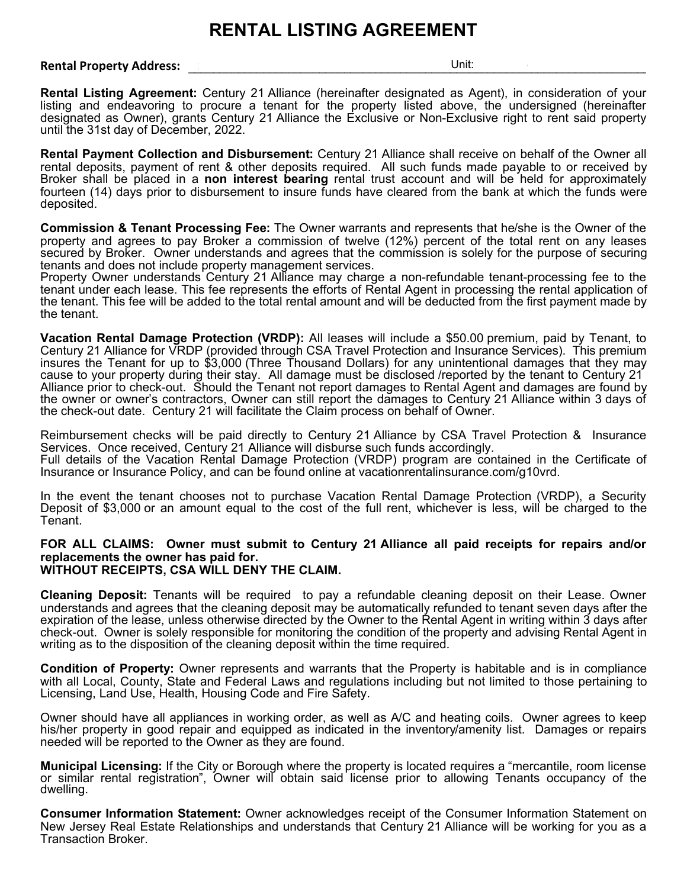## **RENTAL LISTING AGREEMENT**

## **Rental Property Address: Network and State Address: Network and State Address: STA:**

**Rental Listing Agreement:** Century 21 Alliance (hereinafter designated as Agent), in consideration of your listing and endeavoring to procure a tenant for the property listed above, the undersigned (hereinafter designated as Owner), grants Century 21 Alliance the Exclusive or Non-Exclusive right to rent said property until the 31st day of December, 2022.

**Rental Payment Collection and Disbursement:** Century 21 Alliance shall receive on behalf of the Owner all rental deposits, payment of rent & other deposits required. All such funds made payable to or received by Broker shall be placed in a **non interest bearing** rental trust account and will be held for approximately fourteen (14) days prior to disbursement to insure funds have cleared from the bank at which the funds were deposited.

**Commission & Tenant Processing Fee:** The Owner warrants and represents that he/she is the Owner of the property and agrees to pay Broker a commission of twelve (12%) percent of the total rent on any leases secured by Broker. Owner understands and agrees that the commission is solely for the purpose of securing tenants and does not include property management services.

Property Owner understands Century 21 Alliance may charge a non-refundable tenant-processing fee to the tenant under each lease. This fee represents the efforts of Rental Agent in processing the rental application of the tenant. This fee will be added to the total rental amount and will be deducted from the first payment made by the tenant.

**Vacation Rental Damage Protection (VRDP):** All leases will include a \$50.00 premium, paid by Tenant, to Century 21 Alliance for VRDP (provided through CSA Travel Protection and Insurance Services). This premium insures the Tenant for up to \$3,000 (Three Thousand Dollars) for any unintentional damages that they may cause to your property during their stay. All damage must be disclosed /reported by the tenant to Century 21 Alliance prior to check-out. Should the Tenant not report damages to Rental Agent and damages are found by the owner or owner's contractors, Owner can still report the damages to Century 21 Alliance within 3 days of the check-out date. Century 21 will facilitate the Claim process on behalf of Owner.

Reimbursement checks will be paid directly to Century 21 Alliance by CSA Travel Protection & Insurance Services. Once received, Century 21 Alliance will disburse such funds accordingly. Full details of the Vacation Rental Damage Protection (VRDP) program are contained in the Certificate of Insurance or Insurance Policy, and can be found online at vacationrentalinsurance.com/g10vrd.

In the event the tenant chooses not to purchase Vacation Rental Damage Protection (VRDP), a Security Deposit of \$3,000 or an amount equal to the cost of the full rent, whichever is less, will be charged to the Tenant.

## **FOR ALL CLAIMS: Owner must submit to Century 21 Alliance all paid receipts for repairs and/or replacements the owner has paid for. WITHOUT RECEIPTS, CSA WILL DENY THE CLAIM.**

**Cleaning Deposit:** Tenants will be required to pay a refundable cleaning deposit on their Lease. Owner understands and agrees that the cleaning deposit may be automatically refunded to tenant seven days after the expiration of the lease, unless otherwise directed by the Owner to the Rental Agent in writing within 3 days after check-out. Owner is solely responsible for monitoring the condition of the property and advising Rental Agent in writing as to the disposition of the cleaning deposit within the time required.

**Condition of Property:** Owner represents and warrants that the Property is habitable and is in compliance with all Local, County, State and Federal Laws and regulations including but not limited to those pertaining to Licensing, Land Use, Health, Housing Code and Fire Safety.

Owner should have all appliances in working order, as well as A/C and heating coils. Owner agrees to keep his/her property in good repair and equipped as indicated in the inventory/amenity list. Damages or repairs needed will be reported to the Owner as they are found.

**Municipal Licensing:** If the City or Borough where the property is located requires a "mercantile, room license or similar rental registration", Owner will obtain said license prior to allowing Tenants occupancy of the dwelling.

**Consumer Information Statement:** Owner acknowledges receipt of the Consumer Information Statement on New Jersey Real Estate Relationships and understands that Century 21 Alliance will be working for you as a Transaction Broker.